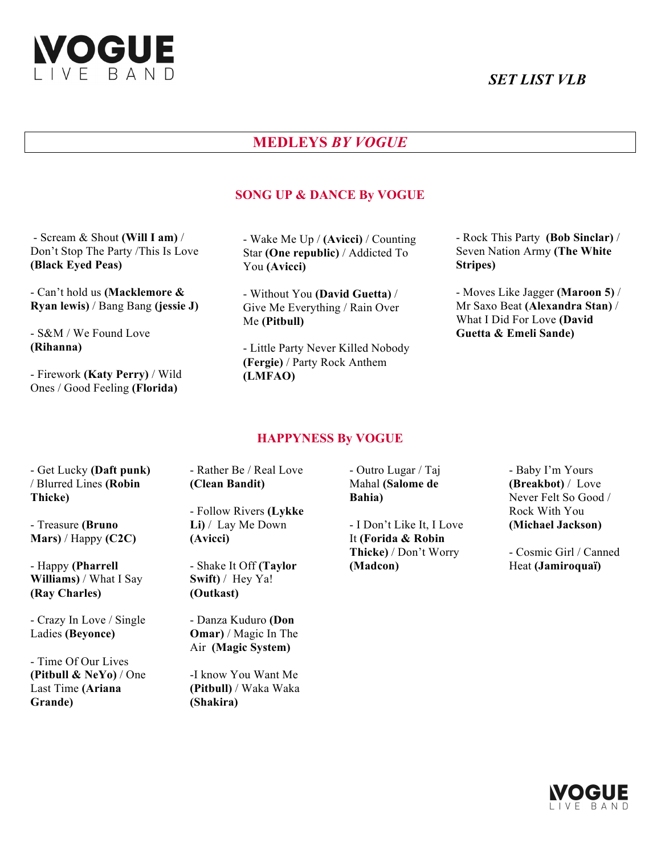

# *SET LIST VLB*

# **MEDLEYS** *BY VOGUE*

# **SONG UP & DANCE By VOGUE**

- Scream & Shout **(Will I am)** / Don't Stop The Party /This Is Love **(Black Eyed Peas)**

- Can't hold us **(Macklemore & Ryan lewis)** / Bang Bang **(jessie J)**

- S&M / We Found Love **(Rihanna)**

- Firework **(Katy Perry)** / Wild Ones / Good Feeling **(Florida)**

- Wake Me Up / **(Avicci)** / Counting Star **(One republic)** / Addicted To You **(Avicci)**

- Without You **(David Guetta)** / Give Me Everything / Rain Over Me **(Pitbull)**

- Little Party Never Killed Nobody **(Fergie)** / Party Rock Anthem **(LMFAO)**

- Rock This Party **(Bob Sinclar)** / Seven Nation Army **(The White Stripes)**

- Moves Like Jagger **(Maroon 5)** / Mr Saxo Beat **(Alexandra Stan)** / What I Did For Love **(David Guetta & Emeli Sande)**

#### **HAPPYNESS By VOGUE**

- Get Lucky **(Daft punk)** / Blurred Lines **(Robin Thicke)**

- Treasure **(Bruno Mars)** / Happy **(C2C)**

- Happy **(Pharrell Williams)** / What I Say **(Ray Charles)**

- Crazy In Love / Single Ladies **(Beyonce)**

- Time Of Our Lives **(Pitbull & NeYo)** / One Last Time **(Ariana Grande)**

- Rather Be / Real Love **(Clean Bandit)**

- Follow Rivers **(Lykke Li)** / Lay Me Down **(Avicci)**

- Shake It Off **(Taylor Swift)** / Hey Ya! **(Outkast)**

- Danza Kuduro **(Don Omar)** / Magic In The Air **(Magic System)**

-I know You Want Me **(Pitbull)** / Waka Waka **(Shakira)**

- Outro Lugar / Taj Mahal **(Salome de Bahia)**

- I Don't Like It, I Love It **(Forida & Robin Thicke)** / Don't Worry **(Madcon)**

- Baby I'm Yours **(Breakbot)** / Love Never Felt So Good / Rock With You **(Michael Jackson)**

- Cosmic Girl / Canned Heat **(Jamiroquaï)**

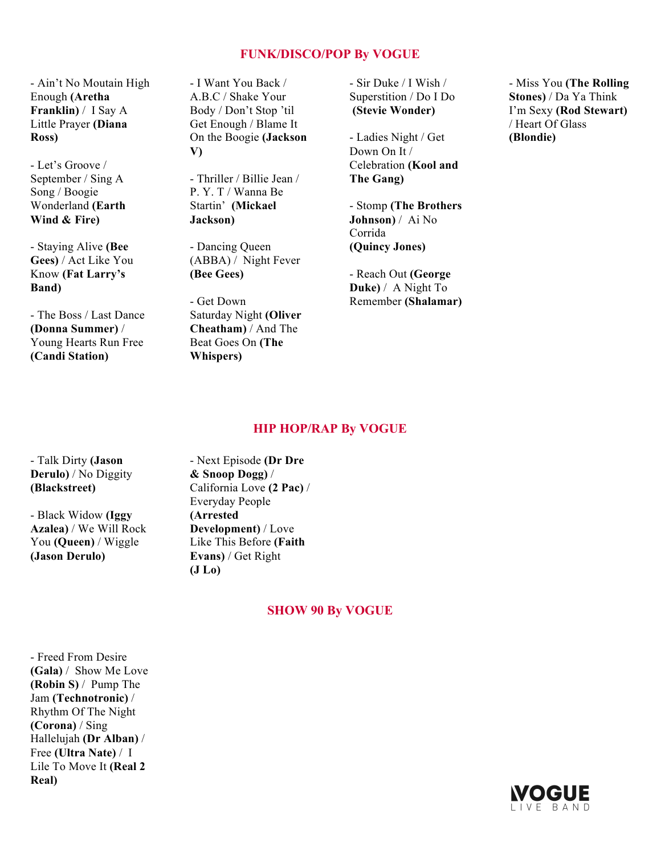# **FUNK/DISCO/POP By VOGUE**

- Ain't No Moutain High Enough **(Aretha Franklin)** / I Say A Little Prayer **(Diana Ross)**

- Let's Groove / September / Sing A Song / Boogie Wonderland **(Earth Wind & Fire)**

- Staying Alive **(Bee Gees)** / Act Like You Know **(Fat Larry's Band)**

- The Boss / Last Dance **(Donna Summer)** / Young Hearts Run Free **(Candi Station)**

- I Want You Back / A.B.C / Shake Your Body / Don't Stop 'til Get Enough / Blame It On the Boogie **(Jackson V)**

- Thriller / Billie Jean / P. Y. T / Wanna Be Startin' **(Mickael Jackson)**

- Dancing Queen (ABBA) / Night Fever **(Bee Gees)**

- Get Down Saturday Night **(Oliver Cheatham)** / And The Beat Goes On **(The Whispers)**

- Sir Duke / I Wish / Superstition / Do I Do **(Stevie Wonder)**

- Ladies Night / Get Down On It / Celebration **(Kool and The Gang)**

- Stomp **(The Brothers Johnson)** / Ai No Corrida **(Quincy Jones)**

- Reach Out **(George Duke)** / A Night To Remember **(Shalamar)**

- Miss You **(The Rolling Stones)** / Da Ya Think I'm Sexy **(Rod Stewart)** / Heart Of Glass **(Blondie)**

#### **HIP HOP/RAP By VOGUE**

- Talk Dirty **(Jason Derulo)** / No Diggity **(Blackstreet)**

- Black Widow **(Iggy Azalea)** / We Will Rock You **(Queen)** / Wiggle **(Jason Derulo)**

- Next Episode **(Dr Dre & Snoop Dogg)** / California Love **(2 Pac)** / Everyday People **(Arrested Development)** / Love Like This Before **(Faith Evans)** / Get Right **(J Lo)**

#### **SHOW 90 By VOGUE**

- Freed From Desire **(Gala)** / Show Me Love **(Robin S)** / Pump The Jam **(Technotronic)** / Rhythm Of The Night **(Corona)** / Sing Hallelujah **(Dr Alban)** / Free **(Ultra Nate)** / I Lile To Move It **(Real 2 Real)**

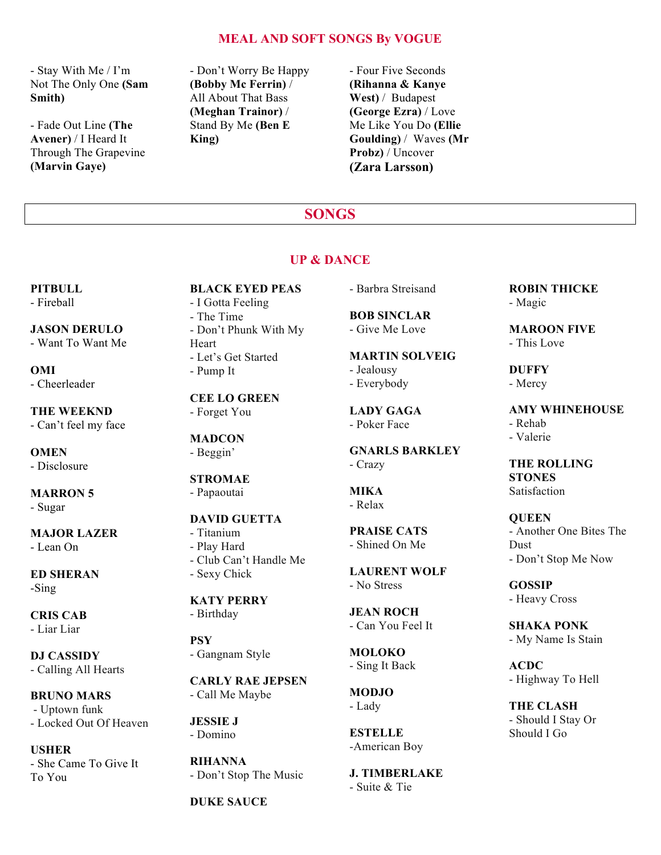# **MEAL AND SOFT SONGS By VOGUE**

- Stay With Me / I'm Not The Only One **(Sam Smith)**

- Fade Out Line **(The Avener)** / I Heard It Through The Grapevine **(Marvin Gaye)**

- Don't Worry Be Happy **(Bobby Mc Ferrin)** / All About That Bass **(Meghan Trainor)** / Stand By Me **(Ben E King)**

- Four Five Seconds **(Rihanna & Kanye West)** / Budapest **(George Ezra)** / Love Me Like You Do **(Ellie Goulding)** / Waves **(Mr Probz)** / Uncover **(Zara Larsson)**

# **SONGS**

### **UP & DANCE**

**PITBULL**

- Fireball

**JASON DERULO** - Want To Want Me

**OMI** - Cheerleader

**THE WEEKND** - Can't feel my face

**OMEN** 

- Disclosure

**MARRON 5**  - Sugar

**MAJOR LAZER** - Lean On

**ED SHERAN** -Sing

**CRIS CAB**  - Liar Liar

**DJ CASSIDY** - Calling All Hearts

**BRUNO MARS** - Uptown funk - Locked Out Of Heaven

**USHER** - She Came To Give It To You

### **BLACK EYED PEAS**

- I Gotta Feeling - The Time - Don't Phunk With My Heart
- Let's Get Started - Pump It

# **CEE LO GREEN**

- Forget You

#### **MADCON**  - Beggin'

# **STROMAE**

- Papaoutai

# **DAVID GUETTA**

- Titanium - Play Hard - Club Can't Handle Me - Sexy Chick

# **KATY PERRY**

- Birthday

# **PSY**  - Gangnam Style

**CARLY RAE JEPSEN**  - Call Me Maybe

**JESSIE J**  - Domino

**RIHANNA**  - Don't Stop The Music

# **DUKE SAUCE**

- Barbra Streisand

#### **BOB SINCLAR**  - Give Me Love

**MARTIN SOLVEIG**  - Jealousy - Everybody

**LADY GAGA**  - Poker Face

**GNARLS BARKLEY**  - Crazy

#### **MIKA**  - Relax

**PRAISE CATS**  - Shined On Me

**LAURENT WOLF**  - No Stress

#### **JEAN ROCH**  - Can You Feel It

**MOLOKO**  - Sing It Back

**MODJO**  - Lady

**ESTELLE**  -American Boy

**J. TIMBERLAKE**  - Suite & Tie

**ROBIN THICKE**  - Magic

**MAROON FIVE**  - This Love

**DUFFY**  - Mercy

**AMY WHINEHOUSE**  - Rehab - Valerie

**THE ROLLING STONES Satisfaction** 

**QUEEN**  - Another One Bites The Dust - Don't Stop Me Now

**GOSSIP**  - Heavy Cross

**SHAKA PONK**  - My Name Is Stain

**ACDC**  - Highway To Hell

**THE CLASH**  - Should I Stay Or Should I Go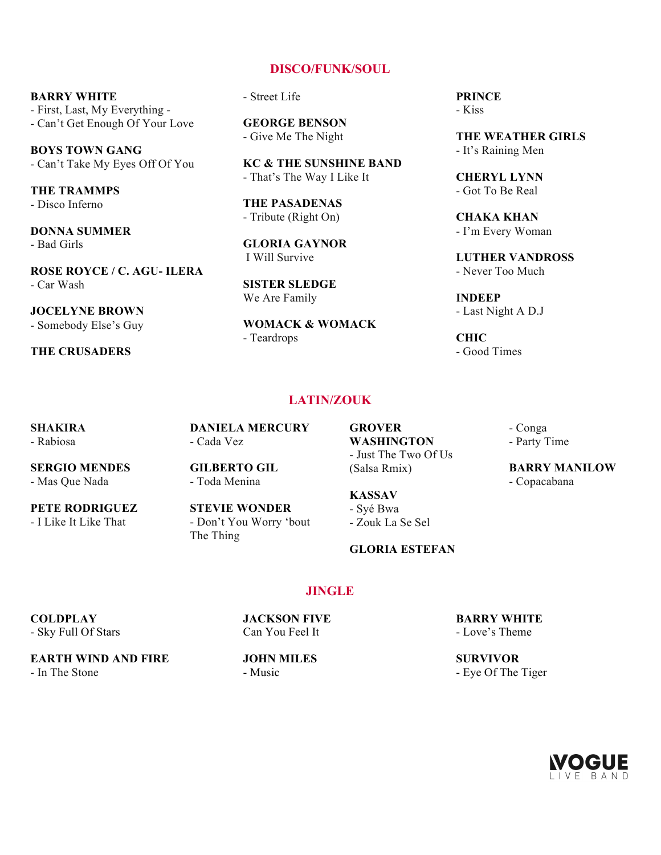#### **DISCO/FUNK/SOUL**

**BARRY WHITE**  - First, Last, My Everything - - Can't Get Enough Of Your Love

**BOYS TOWN GANG**  - Can't Take My Eyes Off Of You

**THE TRAMMPS**  - Disco Inferno

**DONNA SUMMER**  - Bad Girls

**ROSE ROYCE / C. AGU- ILERA**  - Car Wash

**JOCELYNE BROWN**  - Somebody Else's Guy

**THE CRUSADERS** 

- Street Life

**GEORGE BENSON**  - Give Me The Night

**KC & THE SUNSHINE BAND**  - That's The Way I Like It

**THE PASADENAS**  - Tribute (Right On)

**GLORIA GAYNOR**  I Will Survive

**SISTER SLEDGE**  We Are Family

**WOMACK & WOMACK**  - Teardrops

**PRINCE**  - Kiss

**THE WEATHER GIRLS**  - It's Raining Men

**CHERYL LYNN**  - Got To Be Real

**CHAKA KHAN**  - I'm Every Woman

**LUTHER VANDROSS**  - Never Too Much

**INDEEP**  - Last Night A D.J

**CHIC**  - Good Times

# **LATIN/ZOUK**

**SHAKIRA**  - Rabiosa

**DANIELA MERCURY**  - Cada Vez

**SERGIO MENDES**  - Mas Que Nada

**PETE RODRIGUEZ**  - I Like It Like That

**GILBERTO GIL**  - Toda Menina

**STEVIE WONDER**  - Don't You Worry 'bout The Thing

**GROVER WASHINGTON** - Just The Two Of Us (Salsa Rmix)

**KASSAV**  - Syé Bwa - Zouk La Se Sel

**GLORIA ESTEFAN** 

**JINGLE**

**BARRY WHITE**  - Love's Theme

**SURVIVOR**  - Eye Of The Tiger

- Conga - Party Time

**BARRY MANILOW**  - Copacabana

**EARTH WIND AND FIRE** 

- In The Stone

**COLDPLAY** - Sky Full Of Stars

Can You Feel It **JOHN MILES** 

**JACKSON FIVE** 

- Music

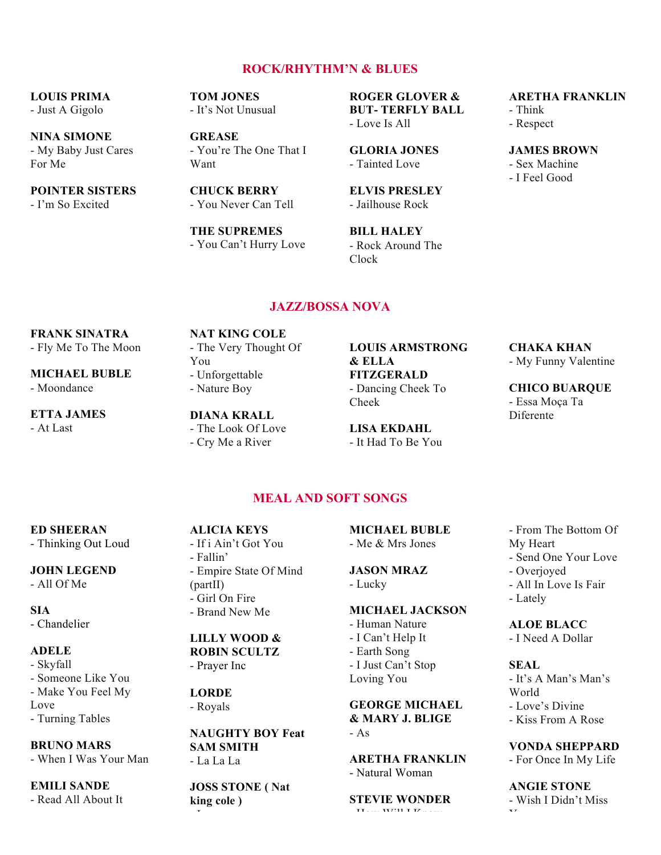# **ROCK/RHYTHM'N & BLUES**

# **LOUIS PRIMA**

- Just A Gigolo

**NINA SIMONE**  - My Baby Just Cares For Me

**POINTER SISTERS**  - I'm So Excited

**TOM JONES**  - It's Not Unusual

**GREASE**  - You're The One That I Want

**CHUCK BERRY**  - You Never Can Tell

**THE SUPREMES**  - You Can't Hurry Love

**ROGER GLOVER & BUT- TERFLY BALL**  - Love Is All

**GLORIA JONES**  - Tainted Love

**ELVIS PRESLEY**  - Jailhouse Rock

**BILL HALEY**  - Rock Around The Clock

### **ARETHA FRANKLIN**

- Think
- Respect
- **JAMES BROWN**
- Sex Machine - I Feel Good

# **JAZZ/BOSSA NOVA**

#### **FRANK SINATRA**

- Fly Me To The Moon

**MICHAEL BUBLE**  - Moondance

**ETTA JAMES**  - At Last

**NAT KING COLE**  - The Very Thought Of You - Unforgettable - Nature Boy

#### **DIANA KRALL**  - The Look Of Love

- Cry Me a River

#### **LOUIS ARMSTRONG & ELLA FITZGERALD**  - Dancing Cheek To

Cheek

**LISA EKDAHL**  - It Had To Be You

#### **CHAKA KHAN**  - My Funny Valentine

**CHICO BUARQUE**  - Essa Moça Ta Diferente

# **MEAL AND SOFT SONGS**

#### **ED SHEERAN**

- Thinking Out Loud

#### **JOHN LEGEND**

- All Of Me

**SIA** - Chandelier

#### **ADELE**

- Skyfall - Someone Like You - Make You Feel My Love - Turning Tables

**BRUNO MARS** 

### - When I Was Your Man

# **EMILI SANDE**

- Read All About It

**ALICIA KEYS**  - If i Ain't Got You - Fallin' - Empire State Of Mind (partII) - Girl On Fire - Brand New Me

### **LILLY WOOD & ROBIN SCULTZ**

- Prayer Inc

**LORDE**  - Royals

- Love

#### **NAUGHTY BOY Feat SAM SMITH**  - La La La

**JOSS STONE ( Nat king cole )** 

**MICHAEL BUBLE**  - Me & Mrs Jones

#### **JASON MRAZ**  - Lucky

#### **MICHAEL JACKSON**

- Human Nature - I Can't Help It - Earth Song - I Just Can't Stop Loving You

**GEORGE MICHAEL & MARY J. BLIGE**   $- As$ 

#### **ARETHA FRANKLIN** - Natural Woman

**STEVIE WONDER** 

 $H = \frac{1}{2} \mathbf{W} \mathbf{V} \cdot \mathbf{W}$ 

- From The Bottom Of My Heart - Send One Your Love - Overjoyed - All In Love Is Fair - Lately

#### **ALOE BLACC**  - I Need A Dollar

**SEAL** 

- It's A Man's Man's World - Love's Divine - Kiss From A Rose

**VONDA SHEPPARD** 

- For Once In My Life

# **ANGIE STONE**

- Wish I Didn't Miss You